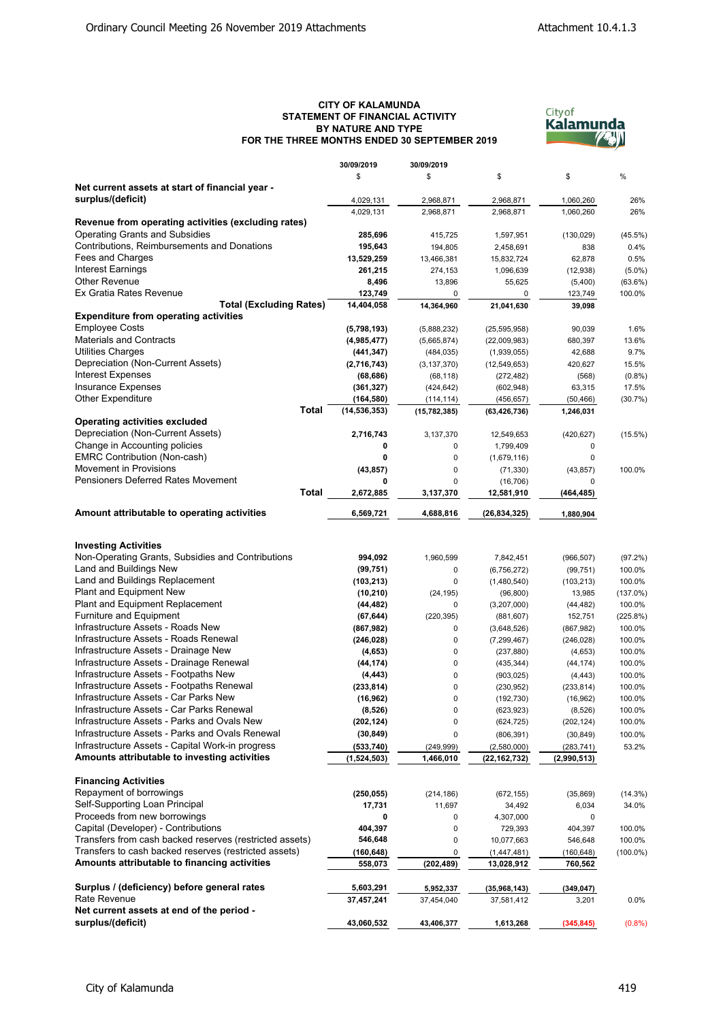## **CITY OF KALAMUNDA STATEMENT OF FINANCIAL ACTIVITY BY NATURE AND TYPE FOR THE THREE MONTHS ENDED 30 SEPTEMBER 2019**



|                                                         | 30/09/2019     | 30/09/2019     |                |             |             |
|---------------------------------------------------------|----------------|----------------|----------------|-------------|-------------|
|                                                         | \$             | \$             | \$             | \$          | %           |
| Net current assets at start of financial year -         |                |                |                |             |             |
| surplus/(deficit)                                       | 4,029,131      | 2,968,871      | 2,968,871      | 1,060,260   | 26%         |
|                                                         | 4,029,131      | 2,968,871      | 2,968,871      | 1,060,260   | 26%         |
| Revenue from operating activities (excluding rates)     |                |                |                |             |             |
| <b>Operating Grants and Subsidies</b>                   | 285,696        | 415,725        | 1,597,951      | (130, 029)  | (45.5%)     |
| Contributions, Reimbursements and Donations             | 195,643        | 194,805        | 2,458,691      | 838         | 0.4%        |
| Fees and Charges                                        | 13,529,259     | 13,466,381     | 15,832,724     | 62,878      | 0.5%        |
| Interest Earnings                                       | 261,215        | 274,153        | 1,096,639      | (12, 938)   | $(5.0\%)$   |
| <b>Other Revenue</b>                                    | 8,496          | 13,896         | 55,625         | (5,400)     | $(63.6\%)$  |
| Ex Gratia Rates Revenue                                 | 123,749        | 0              | $\mathbf 0$    | 123,749     | 100.0%      |
| <b>Total (Excluding Rates)</b>                          | 14,404,058     | 14,364,960     | 21,041,630     | 39,098      |             |
| <b>Expenditure from operating activities</b>            |                |                |                |             |             |
| <b>Employee Costs</b>                                   | (5,798,193)    | (5,888,232)    | (25, 595, 958) | 90,039      | 1.6%        |
| <b>Materials and Contracts</b>                          | (4,985,477)    | (5,665,874)    | (22,009,983)   | 680,397     | 13.6%       |
| <b>Utilities Charges</b>                                | (441, 347)     | (484, 035)     | (1,939,055)    | 42,688      | 9.7%        |
| Depreciation (Non-Current Assets)                       | (2,716,743)    | (3, 137, 370)  | (12, 549, 653) | 420,627     | 15.5%       |
| <b>Interest Expenses</b>                                | (68, 686)      | (68, 118)      | (272, 482)     | (568)       | (0.8%       |
| <b>Insurance Expenses</b>                               | (361, 327)     | (424, 642)     | (602, 948)     | 63,315      | 17.5%       |
| Other Expenditure                                       | (164,580)      | (114, 114)     | (456, 657)     | (50, 466)   | (30.7%)     |
| <b>Total</b>                                            | (14, 536, 353) | (15, 782, 385) | (63, 426, 736) | 1,246,031   |             |
| <b>Operating activities excluded</b>                    |                |                |                |             |             |
| Depreciation (Non-Current Assets)                       | 2,716,743      | 3,137,370      | 12,549,653     | (420, 627)  | (15.5%)     |
| Change in Accounting policies                           | 0              | 0              | 1,799,409      | 0           |             |
| <b>EMRC Contribution (Non-cash)</b>                     | 0              | 0              | (1,679,116)    | 0           |             |
| <b>Movement in Provisions</b>                           | (43, 857)      | 0              | (71, 330)      | (43, 857)   | 100.0%      |
| <b>Pensioners Deferred Rates Movement</b>               | 0              | $\Omega$       | (16, 706)      | 0           |             |
| Total                                                   | 2,672,885      | 3,137,370      | 12,581,910     | (464,485)   |             |
| Amount attributable to operating activities             | 6,569,721      | 4,688,816      | (26, 834, 325) | 1,880,904   |             |
|                                                         |                |                |                |             |             |
|                                                         |                |                |                |             |             |
| <b>Investing Activities</b>                             |                |                |                |             |             |
| Non-Operating Grants, Subsidies and Contributions       | 994,092        | 1,960,599      | 7,842,451      | (966, 507)  | (97.2%)     |
| Land and Buildings New                                  | (99, 751)      | 0              | (6,756,272)    | (99, 751)   | 100.0%      |
| Land and Buildings Replacement                          | (103, 213)     | 0              | (1,480,540)    | (103, 213)  | 100.0%      |
| Plant and Equipment New                                 | (10, 210)      | (24, 195)      | (96, 800)      | 13,985      | (137.0%)    |
| Plant and Equipment Replacement                         | (44, 482)      | 0              | (3,207,000)    | (44, 482)   | 100.0%      |
| Furniture and Equipment                                 | (67, 644)      | (220, 395)     | (881, 607)     | 152,751     | (225.8%)    |
| Infrastructure Assets - Roads New                       | (867, 982)     | 0              | (3,648,526)    | (867, 982)  | 100.0%      |
| Infrastructure Assets - Roads Renewal                   | (246, 028)     | 0              | (7, 299, 467)  | (246, 028)  | 100.0%      |
| Infrastructure Assets - Drainage New                    | (4,653)        | 0              | (237, 880)     | (4,653)     | 100.0%      |
| Infrastructure Assets - Drainage Renewal                | (44, 174)      | 0              | (435, 344)     | (44, 174)   | 100.0%      |
| Infrastructure Assets - Footpaths New                   | (4, 443)       | 0              | (903, 025)     | (4, 443)    | 100.0%      |
| Infrastructure Assets - Footpaths Renewal               | (233, 814)     | 0              | (230, 952)     | (233, 814)  | 100.0%      |
| Infrastructure Assets - Car Parks New                   | (16, 962)      | $\Omega$       | (192, 730)     | (16, 962)   | 100.0%      |
| Infrastructure Assets - Car Parks Renewal               | (8,526)        | 0              | (623, 923)     | (8, 526)    | 100.0%      |
| Infrastructure Assets - Parks and Ovals New             | (202, 124)     | 0              | (624, 725)     | (202, 124)  | 100.0%      |
| Infrastructure Assets - Parks and Ovals Renewal         | (30, 849)      | 0              | (806, 391)     | (30, 849)   | 100.0%      |
| Infrastructure Assets - Capital Work-in progress        | (533,740)      | (249, 999)     | (2,580,000)    | (283, 741)  | 53.2%       |
| Amounts attributable to investing activities            | (1,524,503)    | 1,466,010      | (22, 162, 732) | (2,990,513) |             |
|                                                         |                |                |                |             |             |
| <b>Financing Activities</b>                             |                |                |                |             |             |
| Repayment of borrowings                                 | (250, 055)     | (214, 186)     | (672, 155)     | (35, 869)   | (14.3%)     |
| Self-Supporting Loan Principal                          | 17,731         | 11,697         | 34,492         | 6,034       | 34.0%       |
| Proceeds from new borrowings                            | 0              | 0              | 4,307,000      | 0           |             |
| Capital (Developer) - Contributions                     | 404,397        | 0              | 729,393        | 404,397     | 100.0%      |
| Transfers from cash backed reserves (restricted assets) | 546,648        | 0              | 10,077,663     | 546,648     | 100.0%      |
| Transfers to cash backed reserves (restricted assets)   | (160,648)      | 0              | (1,447,481)    | (160,648)   | $(100.0\%)$ |
| Amounts attributable to financing activities            | 558,073        | (202, 489)     | 13,028,912     | 760,562     |             |
|                                                         |                |                |                |             |             |
| Surplus / (deficiency) before general rates             | 5,603,291      | 5,952,337      | (35,968,143)   | (349,047)   |             |
| Rate Revenue                                            | 37,457,241     | 37,454,040     | 37,581,412     | 3,201       | 0.0%        |
| Net current assets at end of the period -               |                |                |                |             |             |
| surplus/(deficit)                                       | 43,060,532     | 43,406,377     | 1,613,268      | (345, 845)  | (0.8%       |